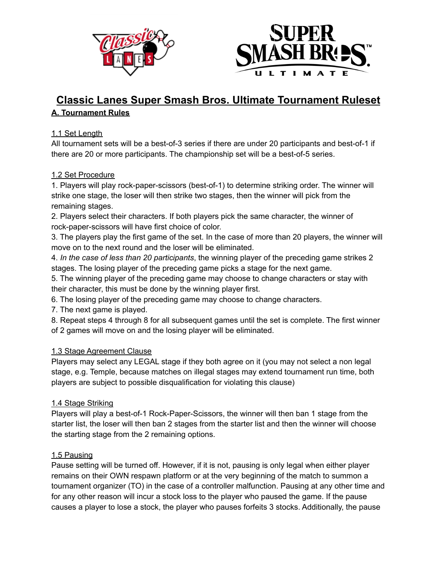



# **Classic Lanes Super Smash Bros. Ultimate Tournament Ruleset A. Tournament Rules**

## 1.1 Set Length

All tournament sets will be a best-of-3 series if there are under 20 participants and best-of-1 if there are 20 or more participants. The championship set will be a best-of-5 series.

## 1.2 Set Procedure

1. Players will play rock-paper-scissors (best-of-1) to determine striking order. The winner will strike one stage, the loser will then strike two stages, then the winner will pick from the remaining stages.

2. Players select their characters. If both players pick the same character, the winner of rock-paper-scissors will have first choice of color.

3. The players play the first game of the set. In the case of more than 20 players, the winner will move on to the next round and the loser will be eliminated.

4. *In the case of less than 20 participants*, the winning player of the preceding game strikes 2 stages. The losing player of the preceding game picks a stage for the next game.

5. The winning player of the preceding game may choose to change characters or stay with their character, this must be done by the winning player first.

6. The losing player of the preceding game may choose to change characters.

7. The next game is played.

8. Repeat steps 4 through 8 for all subsequent games until the set is complete. The first winner of 2 games will move on and the losing player will be eliminated.

## 1.3 Stage Agreement Clause

Players may select any LEGAL stage if they both agree on it (you may not select a non legal stage, e.g. Temple, because matches on illegal stages may extend tournament run time, both players are subject to possible disqualification for violating this clause)

# 1.4 Stage Striking

Players will play a best-of-1 Rock-Paper-Scissors, the winner will then ban 1 stage from the starter list, the loser will then ban 2 stages from the starter list and then the winner will choose the starting stage from the 2 remaining options.

## 1.5 Pausing

Pause setting will be turned off. However, if it is not, pausing is only legal when either player remains on their OWN respawn platform or at the very beginning of the match to summon a tournament organizer (TO) in the case of a controller malfunction. Pausing at any other time and for any other reason will incur a stock loss to the player who paused the game. If the pause causes a player to lose a stock, the player who pauses forfeits 3 stocks. Additionally, the pause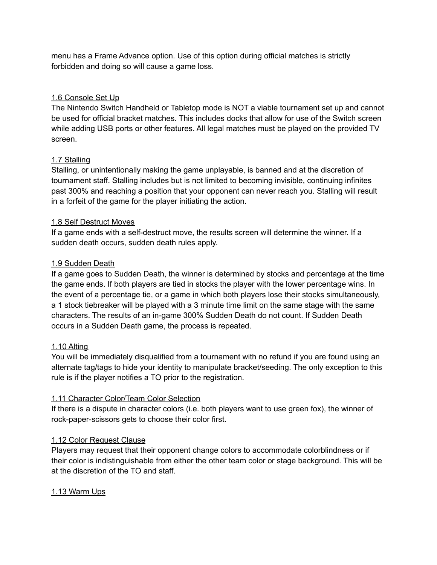menu has a Frame Advance option. Use of this option during official matches is strictly forbidden and doing so will cause a game loss.

## 1.6 Console Set Up

The Nintendo Switch Handheld or Tabletop mode is NOT a viable tournament set up and cannot be used for official bracket matches. This includes docks that allow for use of the Switch screen while adding USB ports or other features. All legal matches must be played on the provided TV screen.

## 1.7 Stalling

Stalling, or unintentionally making the game unplayable, is banned and at the discretion of tournament staff. Stalling includes but is not limited to becoming invisible, continuing infinites past 300% and reaching a position that your opponent can never reach you. Stalling will result in a forfeit of the game for the player initiating the action.

## 1.8 Self Destruct Moves

If a game ends with a self-destruct move, the results screen will determine the winner. If a sudden death occurs, sudden death rules apply.

## 1.9 Sudden Death

If a game goes to Sudden Death, the winner is determined by stocks and percentage at the time the game ends. If both players are tied in stocks the player with the lower percentage wins. In the event of a percentage tie, or a game in which both players lose their stocks simultaneously, a 1 stock tiebreaker will be played with a 3 minute time limit on the same stage with the same characters. The results of an in-game 300% Sudden Death do not count. If Sudden Death occurs in a Sudden Death game, the process is repeated.

## 1.10 Alting

You will be immediately disqualified from a tournament with no refund if you are found using an alternate tag/tags to hide your identity to manipulate bracket/seeding. The only exception to this rule is if the player notifies a TO prior to the registration.

## 1.11 Character Color/Team Color Selection

If there is a dispute in character colors (i.e. both players want to use green fox), the winner of rock-paper-scissors gets to choose their color first.

## 1.12 Color Request Clause

Players may request that their opponent change colors to accommodate colorblindness or if their color is indistinguishable from either the other team color or stage background. This will be at the discretion of the TO and staff.

# 1.13 Warm Ups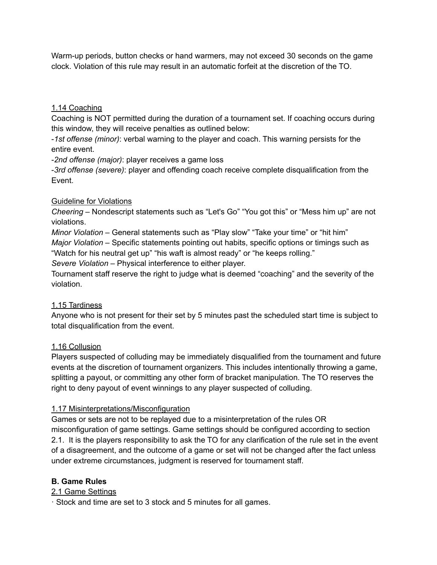Warm-up periods, button checks or hand warmers, may not exceed 30 seconds on the game clock. Violation of this rule may result in an automatic forfeit at the discretion of the TO.

#### 1.14 Coaching

Coaching is NOT permitted during the duration of a tournament set. If coaching occurs during this window, they will receive penalties as outlined below:

-*1st offense (minor)*: verbal warning to the player and coach. This warning persists for the entire event.

-*2nd offense (major)*: player receives a game loss

-*3rd offense (severe)*: player and offending coach receive complete disqualification from the Event.

#### Guideline for Violations

*Cheering* – Nondescript statements such as "Let's Go" "You got this" or "Mess him up" are not violations.

*Minor Violation* – General statements such as "Play slow" "Take your time" or "hit him" *Major Violation* – Specific statements pointing out habits, specific options or timings such as "Watch for his neutral get up" "his waft is almost ready" or "he keeps rolling."

*Severe Violation* – Physical interference to either player.

Tournament staff reserve the right to judge what is deemed "coaching" and the severity of the violation.

#### 1.15 Tardiness

Anyone who is not present for their set by 5 minutes past the scheduled start time is subject to total disqualification from the event.

#### 1.16 Collusion

Players suspected of colluding may be immediately disqualified from the tournament and future events at the discretion of tournament organizers. This includes intentionally throwing a game, splitting a payout, or committing any other form of bracket manipulation. The TO reserves the right to deny payout of event winnings to any player suspected of colluding.

#### 1.17 Misinterpretations/Misconfiguration

Games or sets are not to be replayed due to a misinterpretation of the rules OR misconfiguration of game settings. Game settings should be configured according to section 2.1. It is the players responsibility to ask the TO for any clarification of the rule set in the event of a disagreement, and the outcome of a game or set will not be changed after the fact unless under extreme circumstances, judgment is reserved for tournament staff.

#### **B. Game Rules**

#### 2.1 Game Settings

· Stock and time are set to 3 stock and 5 minutes for all games.